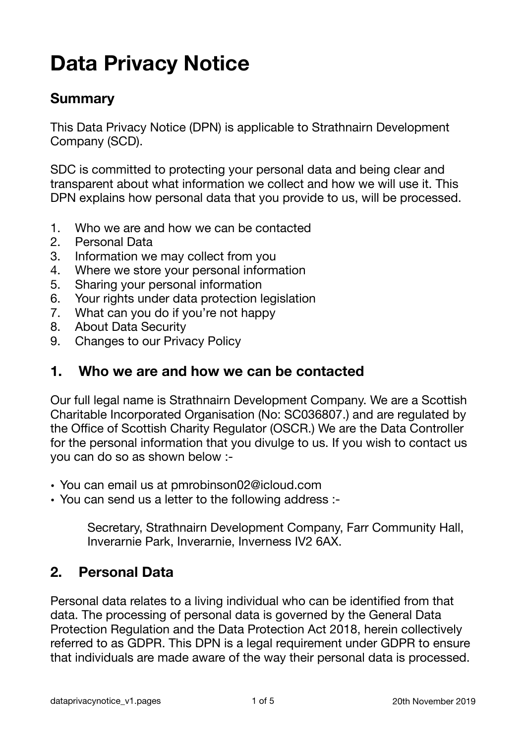# **Data Privacy Notice**

#### **Summary**

This Data Privacy Notice (DPN) is applicable to Strathnairn Development Company (SCD).

SDC is committed to protecting your personal data and being clear and transparent about what information we collect and how we will use it. This DPN explains how personal data that you provide to us, will be processed.

- 1. Who we are and how we can be contacted
- 2. Personal Data
- 3. Information we may collect from you
- 4. Where we store your personal information
- 5. Sharing your personal information
- 6. Your rights under data protection legislation
- 7. What can you do if you're not happy
- 8. About Data Security
- 9. Changes to our Privacy Policy

#### **1. Who we are and how we can be contacted**

Our full legal name is Strathnairn Development Company. We are a Scottish Charitable Incorporated Organisation (No: SC036807.) and are regulated by the Office of Scottish Charity Regulator (OSCR.) We are the Data Controller for the personal information that you divulge to us. If you wish to contact us you can do so as shown below :-

- You can email us at pmrobinson02@icloud.com
- You can send us a letter to the following address :-

Secretary, Strathnairn Development Company, Farr Community Hall, Inverarnie Park, Inverarnie, Inverness IV2 6AX.

#### **2. Personal Data**

Personal data relates to a living individual who can be identified from that data. The processing of personal data is governed by the General Data Protection Regulation and the Data Protection Act 2018, herein collectively referred to as GDPR. This DPN is a legal requirement under GDPR to ensure that individuals are made aware of the way their personal data is processed.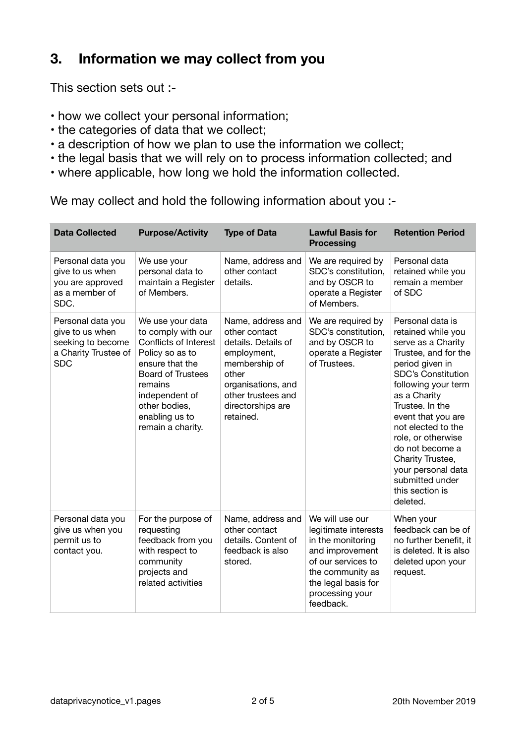## **3. Information we may collect from you**

This section sets out :-

- how we collect your personal information;
- the categories of data that we collect;
- a description of how we plan to use the information we collect;
- the legal basis that we will rely on to process information collected; and
- where applicable, how long we hold the information collected.

We may collect and hold the following information about you :-

| <b>Data Collected</b>                                                                           | <b>Purpose/Activity</b>                                                                                                                                                                                                | <b>Type of Data</b>                                                                                                                                                              | <b>Lawful Basis for</b><br><b>Processing</b>                                                                                                                                     | <b>Retention Period</b>                                                                                                                                                                                                                                                                                                                                                         |
|-------------------------------------------------------------------------------------------------|------------------------------------------------------------------------------------------------------------------------------------------------------------------------------------------------------------------------|----------------------------------------------------------------------------------------------------------------------------------------------------------------------------------|----------------------------------------------------------------------------------------------------------------------------------------------------------------------------------|---------------------------------------------------------------------------------------------------------------------------------------------------------------------------------------------------------------------------------------------------------------------------------------------------------------------------------------------------------------------------------|
| Personal data you<br>give to us when<br>you are approved<br>as a member of<br>SDC.              | We use your<br>personal data to<br>maintain a Register<br>of Members.                                                                                                                                                  | Name, address and<br>other contact<br>details.                                                                                                                                   | We are required by<br>SDC's constitution,<br>and by OSCR to<br>operate a Register<br>of Members.                                                                                 | Personal data<br>retained while you<br>remain a member<br>of SDC                                                                                                                                                                                                                                                                                                                |
| Personal data you<br>give to us when<br>seeking to become<br>a Charity Trustee of<br><b>SDC</b> | We use your data<br>to comply with our<br>Conflicts of Interest<br>Policy so as to<br>ensure that the<br><b>Board of Trustees</b><br>remains<br>independent of<br>other bodies,<br>enabling us to<br>remain a charity. | Name, address and<br>other contact<br>details. Details of<br>employment,<br>membership of<br>other<br>organisations, and<br>other trustees and<br>directorships are<br>retained. | We are required by<br>SDC's constitution,<br>and by OSCR to<br>operate a Register<br>of Trustees.                                                                                | Personal data is<br>retained while you<br>serve as a Charity<br>Trustee, and for the<br>period given in<br><b>SDC's Constitution</b><br>following your term<br>as a Charity<br>Trustee. In the<br>event that you are<br>not elected to the<br>role, or otherwise<br>do not become a<br>Charity Trustee,<br>your personal data<br>submitted under<br>this section is<br>deleted. |
| Personal data you<br>give us when you<br>permit us to<br>contact you.                           | For the purpose of<br>requesting<br>feedback from you<br>with respect to<br>community<br>projects and<br>related activities                                                                                            | Name, address and<br>other contact<br>details. Content of<br>feedback is also<br>stored.                                                                                         | We will use our<br>legitimate interests<br>in the monitoring<br>and improvement<br>of our services to<br>the community as<br>the legal basis for<br>processing your<br>feedback. | When your<br>feedback can be of<br>no further benefit, it<br>is deleted. It is also<br>deleted upon your<br>request.                                                                                                                                                                                                                                                            |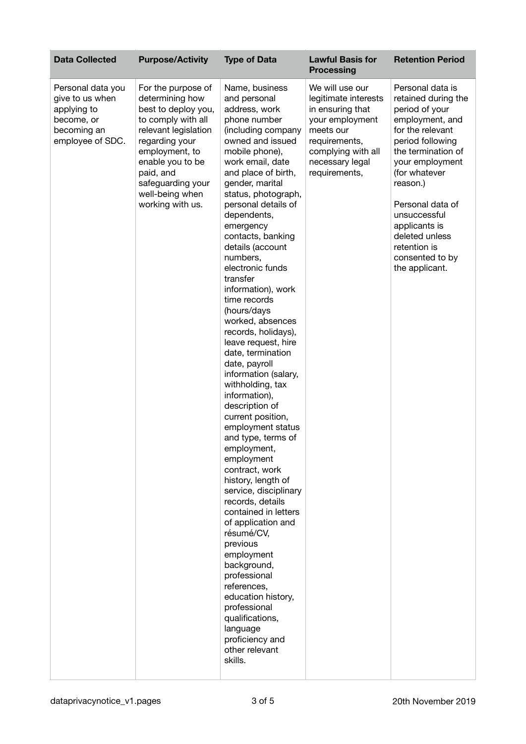| <b>Data Collected</b>                                                                                | <b>Purpose/Activity</b>                                                                                                                                                                                                                     | <b>Type of Data</b>                                                                                                                                                                                                                                                                                                                                                                                                                                                                                                                                                                                                                                                                                                                                                                                                                                                                                                                                                                                                                             | <b>Lawful Basis for</b><br><b>Processing</b>                                                                                                                           | <b>Retention Period</b>                                                                                                                                                                                                                                                                                                |
|------------------------------------------------------------------------------------------------------|---------------------------------------------------------------------------------------------------------------------------------------------------------------------------------------------------------------------------------------------|-------------------------------------------------------------------------------------------------------------------------------------------------------------------------------------------------------------------------------------------------------------------------------------------------------------------------------------------------------------------------------------------------------------------------------------------------------------------------------------------------------------------------------------------------------------------------------------------------------------------------------------------------------------------------------------------------------------------------------------------------------------------------------------------------------------------------------------------------------------------------------------------------------------------------------------------------------------------------------------------------------------------------------------------------|------------------------------------------------------------------------------------------------------------------------------------------------------------------------|------------------------------------------------------------------------------------------------------------------------------------------------------------------------------------------------------------------------------------------------------------------------------------------------------------------------|
| Personal data you<br>give to us when<br>applying to<br>become, or<br>becoming an<br>employee of SDC. | For the purpose of<br>determining how<br>best to deploy you,<br>to comply with all<br>relevant legislation<br>regarding your<br>employment, to<br>enable you to be<br>paid, and<br>safeguarding your<br>well-being when<br>working with us. | Name, business<br>and personal<br>address, work<br>phone number<br>(including company<br>owned and issued<br>mobile phone),<br>work email, date<br>and place of birth,<br>gender, marital<br>status, photograph,<br>personal details of<br>dependents,<br>emergency<br>contacts, banking<br>details (account<br>numbers,<br>electronic funds<br>transfer<br>information), work<br>time records<br>(hours/days<br>worked, absences<br>records, holidays),<br>leave request, hire<br>date, termination<br>date, payroll<br>information (salary,<br>withholding, tax<br>information),<br>description of<br>current position,<br>employment status<br>and type, terms of<br>employment,<br>employment<br>contract, work<br>history, length of<br>service, disciplinary<br>records, details<br>contained in letters<br>of application and<br>résumé/CV,<br>previous<br>employment<br>background,<br>professional<br>references,<br>education history,<br>professional<br>qualifications,<br>language<br>proficiency and<br>other relevant<br>skills. | We will use our<br>legitimate interests<br>in ensuring that<br>your employment<br>meets our<br>requirements,<br>complying with all<br>necessary legal<br>requirements, | Personal data is<br>retained during the<br>period of your<br>employment, and<br>for the relevant<br>period following<br>the termination of<br>your employment<br>(for whatever<br>reason.)<br>Personal data of<br>unsuccessful<br>applicants is<br>deleted unless<br>retention is<br>consented to by<br>the applicant. |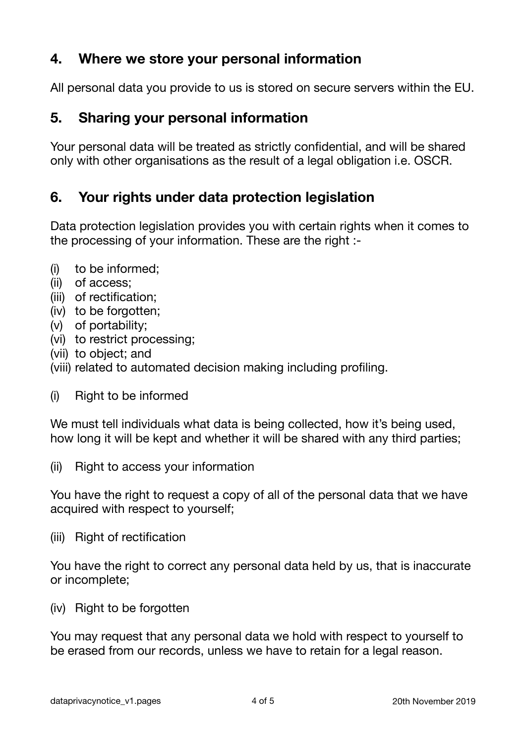## **4. Where we store your personal information**

All personal data you provide to us is stored on secure servers within the EU.

#### **5. Sharing your personal information**

Your personal data will be treated as strictly confidential, and will be shared only with other organisations as the result of a legal obligation i.e. OSCR.

### **6. Your rights under data protection legislation**

Data protection legislation provides you with certain rights when it comes to the processing of your information. These are the right :-

- (i) to be informed;
- (ii) of access;
- (iii) of rectification;
- (iv) to be forgotten;
- (v) of portability;
- (vi) to restrict processing;
- (vii) to object; and
- (viii) related to automated decision making including profiling.
- (i) Right to be informed

We must tell individuals what data is being collected, how it's being used, how long it will be kept and whether it will be shared with any third parties;

(ii) Right to access your information

You have the right to request a copy of all of the personal data that we have acquired with respect to yourself;

(iii) Right of rectification

You have the right to correct any personal data held by us, that is inaccurate or incomplete;

(iv) Right to be forgotten

You may request that any personal data we hold with respect to yourself to be erased from our records, unless we have to retain for a legal reason.